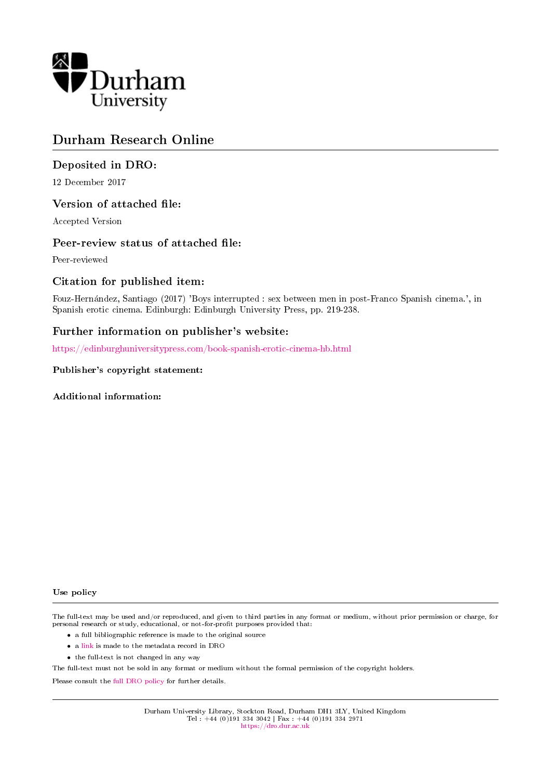

## Durham Research Online

## Deposited in DRO:

12 December 2017

### Version of attached file:

Accepted Version

#### Peer-review status of attached file:

Peer-reviewed

## Citation for published item:

Fouz-Hernandez, Santiago (2017) 'Boys interrupted : sex between men in post-Franco Spanish cinema.', in Spanish erotic cinema. Edinburgh: Edinburgh University Press, pp. 219-238.

### Further information on publisher's website:

<https://edinburghuniversitypress.com/book-spanish-erotic-cinema-hb.html>

#### Publisher's copyright statement:

Additional information:

#### Use policy

The full-text may be used and/or reproduced, and given to third parties in any format or medium, without prior permission or charge, for personal research or study, educational, or not-for-profit purposes provided that:

- a full bibliographic reference is made to the original source
- a [link](http://dro.dur.ac.uk/23689/) is made to the metadata record in DRO
- the full-text is not changed in any way

The full-text must not be sold in any format or medium without the formal permission of the copyright holders.

Please consult the [full DRO policy](https://dro.dur.ac.uk/policies/usepolicy.pdf) for further details.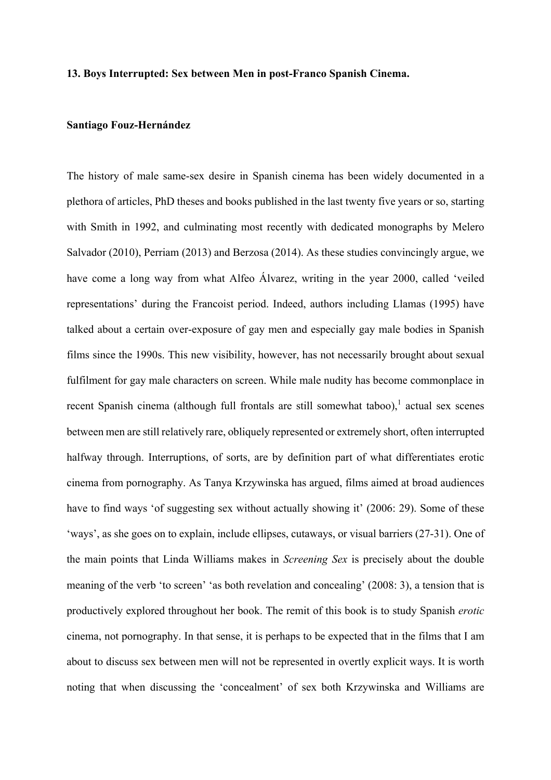#### **13. Boys Interrupted: Sex between Men in post-Franco Spanish Cinema.**

#### **Santiago Fouz-Hernández**

The history of male same-sex desire in Spanish cinema has been widely documented in a plethora of articles, PhD theses and books published in the last twenty five years or so, starting with Smith in 1992, and culminating most recently with dedicated monographs by Melero Salvador (2010), Perriam (2013) and Berzosa (2014). As these studies convincingly argue, we have come a long way from what Alfeo Álvarez, writing in the year 2000, called 'veiled representations' during the Francoist period. Indeed, authors including Llamas (1995) have talked about a certain over-exposure of gay men and especially gay male bodies in Spanish films since the 1990s. This new visibility, however, has not necessarily brought about sexual fulfilment for gay male characters on screen. While male nudity has become commonplace in recent Spanish cinema (although full frontals are still somewhat taboo), $\frac{1}{1}$  actual sex scenes between men are still relatively rare, obliquely represented or extremely short, often interrupted halfway through. Interruptions, of sorts, are by definition part of what differentiates erotic cinema from pornography. As Tanya Krzywinska has argued, films aimed at broad audiences have to find ways 'of suggesting sex without actually showing it' (2006: 29). Some of these 'ways', as she goes on to explain, include ellipses, cutaways, or visual barriers (27-31). One of the main points that Linda Williams makes in *Screening Sex* is precisely about the double meaning of the verb 'to screen' 'as both revelation and concealing' (2008: 3), a tension that is productively explored throughout her book. The remit of this book is to study Spanish *erotic* cinema, not pornography. In that sense, it is perhaps to be expected that in the films that I am about to discuss sex between men will not be represented in overtly explicit ways. It is worth noting that when discussing the 'concealment' of sex both Krzywinska and Williams are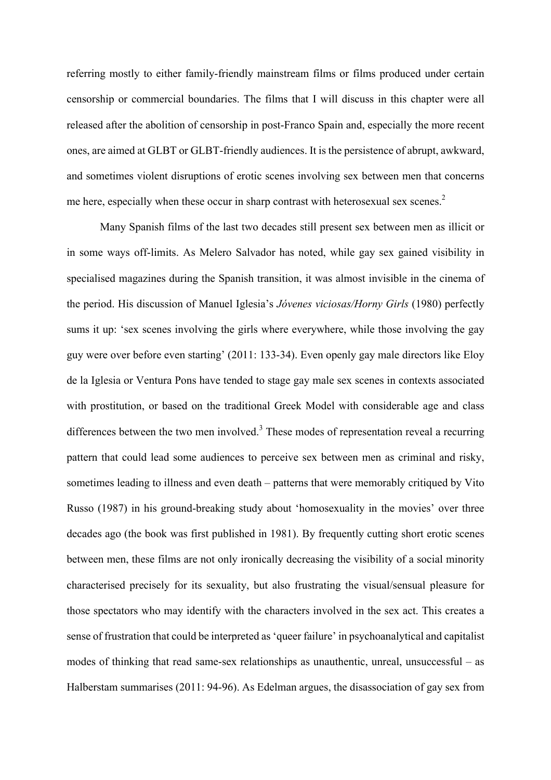referring mostly to either family-friendly mainstream films or films produced under certain censorship or commercial boundaries. The films that I will discuss in this chapter were all released after the abolition of censorship in post-Franco Spain and, especially the more recent ones, are aimed at GLBT or GLBT-friendly audiences. It is the persistence of abrupt, awkward, and sometimes violent disruptions of erotic scenes involving sex between men that concerns me here, especially when these occur in sharp contrast with heterosexual sex scenes.<sup>2</sup>

Many Spanish films of the last two decades still present sex between men as illicit or in some ways off-limits. As Melero Salvador has noted, while gay sex gained visibility in specialised magazines during the Spanish transition, it was almost invisible in the cinema of the period. His discussion of Manuel Iglesia's *Jóvenes viciosas/Horny Girls* (1980) perfectly sums it up: 'sex scenes involving the girls where everywhere, while those involving the gay guy were over before even starting' (2011: 133-34). Even openly gay male directors like Eloy de la Iglesia or Ventura Pons have tended to stage gay male sex scenes in contexts associated with prostitution, or based on the traditional Greek Model with considerable age and class differences between the two men involved.<sup>3</sup> These modes of representation reveal a recurring pattern that could lead some audiences to perceive sex between men as criminal and risky, sometimes leading to illness and even death – patterns that were memorably critiqued by Vito Russo (1987) in his ground-breaking study about 'homosexuality in the movies' over three decades ago (the book was first published in 1981). By frequently cutting short erotic scenes between men, these films are not only ironically decreasing the visibility of a social minority characterised precisely for its sexuality, but also frustrating the visual/sensual pleasure for those spectators who may identify with the characters involved in the sex act. This creates a sense of frustration that could be interpreted as 'queer failure' in psychoanalytical and capitalist modes of thinking that read same-sex relationships as unauthentic, unreal, unsuccessful – as Halberstam summarises (2011: 94-96). As Edelman argues, the disassociation of gay sex from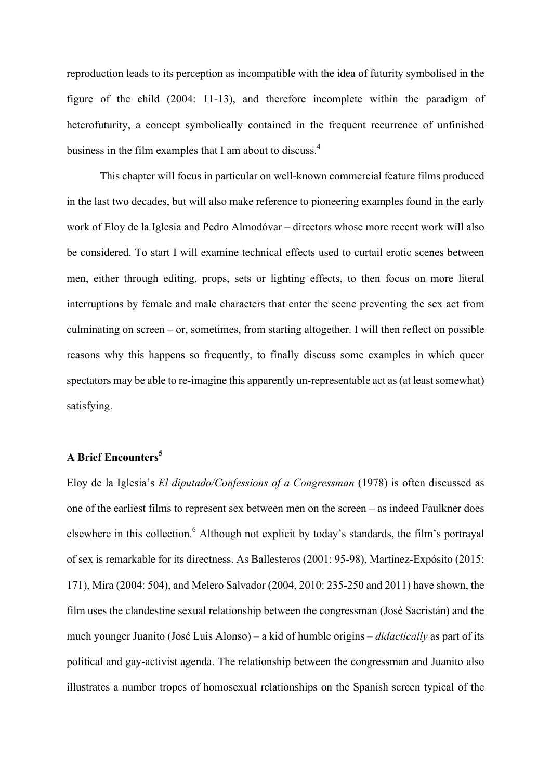reproduction leads to its perception as incompatible with the idea of futurity symbolised in the figure of the child (2004: 11-13), and therefore incomplete within the paradigm of heterofuturity, a concept symbolically contained in the frequent recurrence of unfinished business in the film examples that I am about to discuss.<sup>4</sup>

This chapter will focus in particular on well-known commercial feature films produced in the last two decades, but will also make reference to pioneering examples found in the early work of Eloy de la Iglesia and Pedro Almodóvar – directors whose more recent work will also be considered. To start I will examine technical effects used to curtail erotic scenes between men, either through editing, props, sets or lighting effects, to then focus on more literal interruptions by female and male characters that enter the scene preventing the sex act from culminating on screen – or, sometimes, from starting altogether. I will then reflect on possible reasons why this happens so frequently, to finally discuss some examples in which queer spectators may be able to re-imagine this apparently un-representable act as (at least somewhat) satisfying.

## **A Brief Encounters<sup>5</sup>**

Eloy de la Iglesia's *El diputado/Confessions of a Congressman* (1978) is often discussed as one of the earliest films to represent sex between men on the screen – as indeed Faulkner does elsewhere in this collection.<sup>6</sup> Although not explicit by today's standards, the film's portrayal of sex is remarkable for its directness. As Ballesteros (2001: 95-98), Martínez-Expósito (2015: 171), Mira (2004: 504), and Melero Salvador (2004, 2010: 235-250 and 2011) have shown, the film uses the clandestine sexual relationship between the congressman (José Sacristán) and the much younger Juanito (José Luis Alonso) – a kid of humble origins – *didactically* as part of its political and gay-activist agenda. The relationship between the congressman and Juanito also illustrates a number tropes of homosexual relationships on the Spanish screen typical of the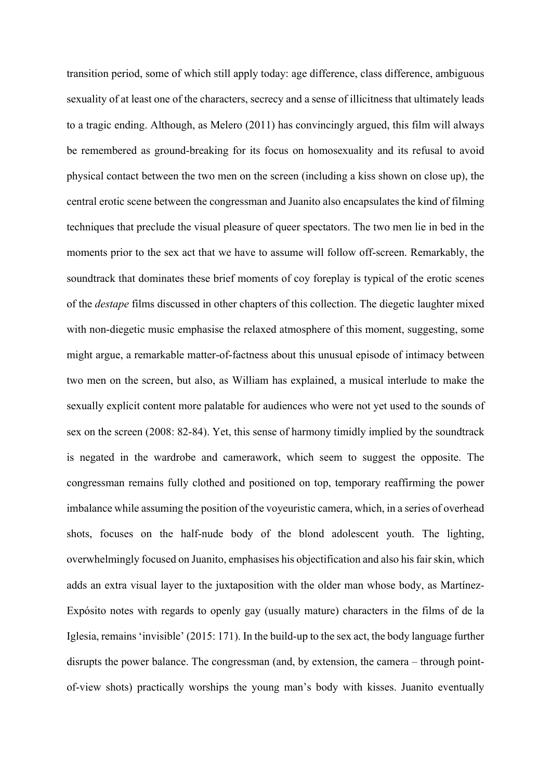transition period, some of which still apply today: age difference, class difference, ambiguous sexuality of at least one of the characters, secrecy and a sense of illicitness that ultimately leads to a tragic ending. Although, as Melero (2011) has convincingly argued, this film will always be remembered as ground-breaking for its focus on homosexuality and its refusal to avoid physical contact between the two men on the screen (including a kiss shown on close up), the central erotic scene between the congressman and Juanito also encapsulates the kind of filming techniques that preclude the visual pleasure of queer spectators. The two men lie in bed in the moments prior to the sex act that we have to assume will follow off-screen. Remarkably, the soundtrack that dominates these brief moments of coy foreplay is typical of the erotic scenes of the *destape* films discussed in other chapters of this collection. The diegetic laughter mixed with non-diegetic music emphasise the relaxed atmosphere of this moment, suggesting, some might argue, a remarkable matter-of-factness about this unusual episode of intimacy between two men on the screen, but also, as William has explained, a musical interlude to make the sexually explicit content more palatable for audiences who were not yet used to the sounds of sex on the screen (2008: 82-84). Yet, this sense of harmony timidly implied by the soundtrack is negated in the wardrobe and camerawork, which seem to suggest the opposite. The congressman remains fully clothed and positioned on top, temporary reaffirming the power imbalance while assuming the position of the voyeuristic camera, which, in a series of overhead shots, focuses on the half-nude body of the blond adolescent youth. The lighting, overwhelmingly focused on Juanito, emphasises his objectification and also his fair skin, which adds an extra visual layer to the juxtaposition with the older man whose body, as Martínez-Expósito notes with regards to openly gay (usually mature) characters in the films of de la Iglesia, remains 'invisible' (2015: 171). In the build-up to the sex act, the body language further disrupts the power balance. The congressman (and, by extension, the camera – through pointof-view shots) practically worships the young man's body with kisses. Juanito eventually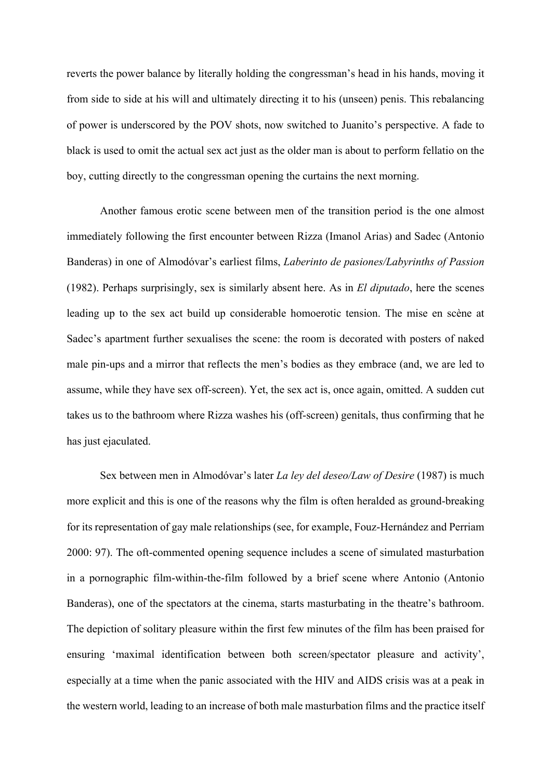reverts the power balance by literally holding the congressman's head in his hands, moving it from side to side at his will and ultimately directing it to his (unseen) penis. This rebalancing of power is underscored by the POV shots, now switched to Juanito's perspective. A fade to black is used to omit the actual sex act just as the older man is about to perform fellatio on the boy, cutting directly to the congressman opening the curtains the next morning.

Another famous erotic scene between men of the transition period is the one almost immediately following the first encounter between Rizza (Imanol Arias) and Sadec (Antonio Banderas) in one of Almodóvar's earliest films, *Laberinto de pasiones/Labyrinths of Passion*  (1982). Perhaps surprisingly, sex is similarly absent here. As in *El diputado*, here the scenes leading up to the sex act build up considerable homoerotic tension. The mise en scène at Sadec's apartment further sexualises the scene: the room is decorated with posters of naked male pin-ups and a mirror that reflects the men's bodies as they embrace (and, we are led to assume, while they have sex off-screen). Yet, the sex act is, once again, omitted. A sudden cut takes us to the bathroom where Rizza washes his (off-screen) genitals, thus confirming that he has just ejaculated.

Sex between men in Almodóvar's later *La ley del deseo/Law of Desire* (1987) is much more explicit and this is one of the reasons why the film is often heralded as ground-breaking for its representation of gay male relationships (see, for example, Fouz-Hernández and Perriam 2000: 97). The oft-commented opening sequence includes a scene of simulated masturbation in a pornographic film-within-the-film followed by a brief scene where Antonio (Antonio Banderas), one of the spectators at the cinema, starts masturbating in the theatre's bathroom. The depiction of solitary pleasure within the first few minutes of the film has been praised for ensuring 'maximal identification between both screen/spectator pleasure and activity', especially at a time when the panic associated with the HIV and AIDS crisis was at a peak in the western world, leading to an increase of both male masturbation films and the practice itself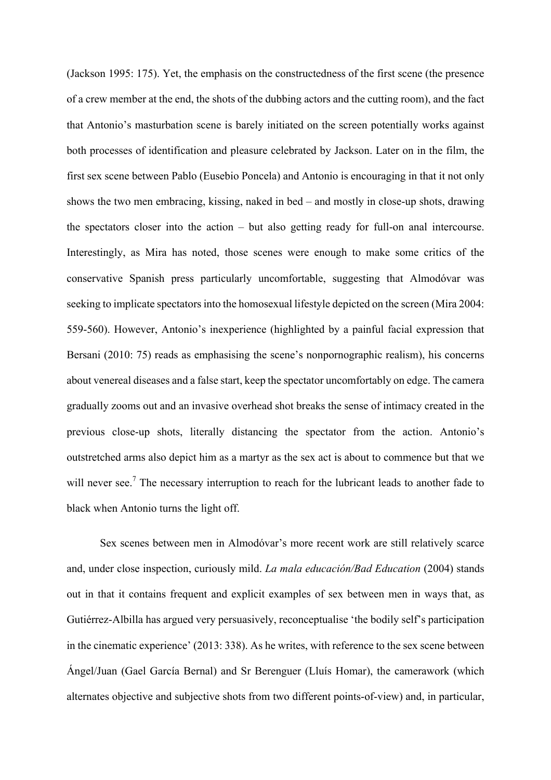(Jackson 1995: 175). Yet, the emphasis on the constructedness of the first scene (the presence of a crew member at the end, the shots of the dubbing actors and the cutting room), and the fact that Antonio's masturbation scene is barely initiated on the screen potentially works against both processes of identification and pleasure celebrated by Jackson. Later on in the film, the first sex scene between Pablo (Eusebio Poncela) and Antonio is encouraging in that it not only shows the two men embracing, kissing, naked in bed – and mostly in close-up shots, drawing the spectators closer into the action – but also getting ready for full-on anal intercourse. Interestingly, as Mira has noted, those scenes were enough to make some critics of the conservative Spanish press particularly uncomfortable, suggesting that Almodóvar was seeking to implicate spectators into the homosexual lifestyle depicted on the screen (Mira 2004: 559-560). However, Antonio's inexperience (highlighted by a painful facial expression that Bersani (2010: 75) reads as emphasising the scene's nonpornographic realism), his concerns about venereal diseases and a false start, keep the spectator uncomfortably on edge. The camera gradually zooms out and an invasive overhead shot breaks the sense of intimacy created in the previous close-up shots, literally distancing the spectator from the action. Antonio's outstretched arms also depict him as a martyr as the sex act is about to commence but that we will never see.<sup>7</sup> The necessary interruption to reach for the lubricant leads to another fade to black when Antonio turns the light off.

Sex scenes between men in Almodóvar's more recent work are still relatively scarce and, under close inspection, curiously mild. *La mala educación/Bad Education* (2004) stands out in that it contains frequent and explicit examples of sex between men in ways that, as Gutiérrez-Albilla has argued very persuasively, reconceptualise 'the bodily self's participation in the cinematic experience' (2013: 338). As he writes, with reference to the sex scene between Ángel/Juan (Gael García Bernal) and Sr Berenguer (Lluís Homar), the camerawork (which alternates objective and subjective shots from two different points-of-view) and, in particular,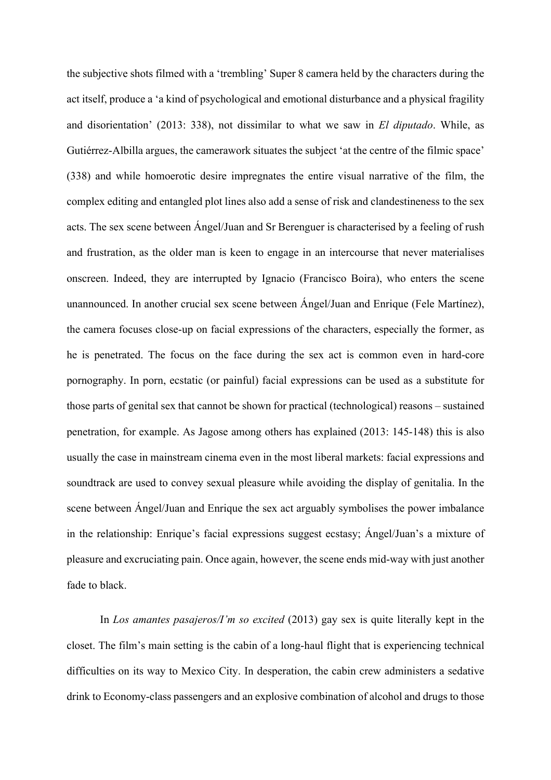the subjective shots filmed with a 'trembling' Super 8 camera held by the characters during the act itself, produce a 'a kind of psychological and emotional disturbance and a physical fragility and disorientation' (2013: 338), not dissimilar to what we saw in *El diputado*. While, as Gutiérrez-Albilla argues, the camerawork situates the subject 'at the centre of the filmic space' (338) and while homoerotic desire impregnates the entire visual narrative of the film, the complex editing and entangled plot lines also add a sense of risk and clandestineness to the sex acts. The sex scene between Ángel/Juan and Sr Berenguer is characterised by a feeling of rush and frustration, as the older man is keen to engage in an intercourse that never materialises onscreen. Indeed, they are interrupted by Ignacio (Francisco Boira), who enters the scene unannounced. In another crucial sex scene between Ángel/Juan and Enrique (Fele Martínez), the camera focuses close-up on facial expressions of the characters, especially the former, as he is penetrated. The focus on the face during the sex act is common even in hard-core pornography. In porn, ecstatic (or painful) facial expressions can be used as a substitute for those parts of genital sex that cannot be shown for practical (technological) reasons – sustained penetration, for example. As Jagose among others has explained (2013: 145-148) this is also usually the case in mainstream cinema even in the most liberal markets: facial expressions and soundtrack are used to convey sexual pleasure while avoiding the display of genitalia. In the scene between Ángel/Juan and Enrique the sex act arguably symbolises the power imbalance in the relationship: Enrique's facial expressions suggest ecstasy; Ángel/Juan's a mixture of pleasure and excruciating pain. Once again, however, the scene ends mid-way with just another fade to black.

In *Los amantes pasajeros/I'm so excited* (2013) gay sex is quite literally kept in the closet. The film's main setting is the cabin of a long-haul flight that is experiencing technical difficulties on its way to Mexico City. In desperation, the cabin crew administers a sedative drink to Economy-class passengers and an explosive combination of alcohol and drugs to those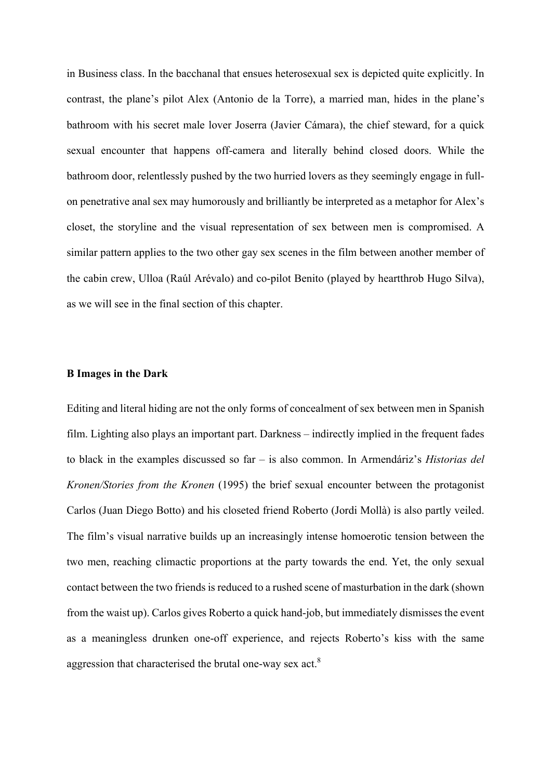in Business class. In the bacchanal that ensues heterosexual sex is depicted quite explicitly. In contrast, the plane's pilot Alex (Antonio de la Torre), a married man, hides in the plane's bathroom with his secret male lover Joserra (Javier Cámara), the chief steward, for a quick sexual encounter that happens off-camera and literally behind closed doors. While the bathroom door, relentlessly pushed by the two hurried lovers as they seemingly engage in fullon penetrative anal sex may humorously and brilliantly be interpreted as a metaphor for Alex's closet, the storyline and the visual representation of sex between men is compromised. A similar pattern applies to the two other gay sex scenes in the film between another member of the cabin crew, Ulloa (Raúl Arévalo) and co-pilot Benito (played by heartthrob Hugo Silva), as we will see in the final section of this chapter.

#### **B Images in the Dark**

Editing and literal hiding are not the only forms of concealment of sex between men in Spanish film. Lighting also plays an important part. Darkness – indirectly implied in the frequent fades to black in the examples discussed so far – is also common. In Armendáriz's *Historias del Kronen/Stories from the Kronen* (1995) the brief sexual encounter between the protagonist Carlos (Juan Diego Botto) and his closeted friend Roberto (Jordi Mollà) is also partly veiled. The film's visual narrative builds up an increasingly intense homoerotic tension between the two men, reaching climactic proportions at the party towards the end. Yet, the only sexual contact between the two friends is reduced to a rushed scene of masturbation in the dark (shown from the waist up). Carlos gives Roberto a quick hand-job, but immediately dismisses the event as a meaningless drunken one-off experience, and rejects Roberto's kiss with the same aggression that characterised the brutal one-way sex act.<sup>8</sup>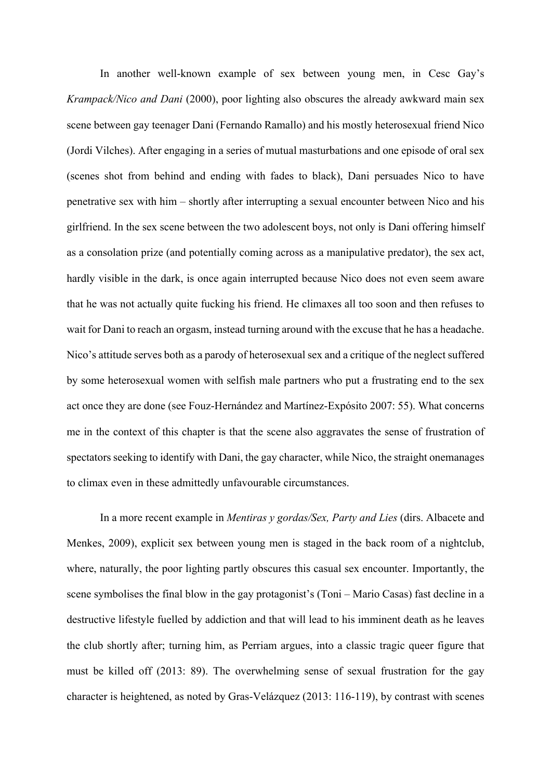In another well-known example of sex between young men, in Cesc Gay's *Krampack/Nico and Dani* (2000), poor lighting also obscures the already awkward main sex scene between gay teenager Dani (Fernando Ramallo) and his mostly heterosexual friend Nico (Jordi Vilches). After engaging in a series of mutual masturbations and one episode of oral sex (scenes shot from behind and ending with fades to black), Dani persuades Nico to have penetrative sex with him – shortly after interrupting a sexual encounter between Nico and his girlfriend. In the sex scene between the two adolescent boys, not only is Dani offering himself as a consolation prize (and potentially coming across as a manipulative predator), the sex act, hardly visible in the dark, is once again interrupted because Nico does not even seem aware that he was not actually quite fucking his friend. He climaxes all too soon and then refuses to wait for Dani to reach an orgasm, instead turning around with the excuse that he has a headache. Nico's attitude serves both as a parody of heterosexual sex and a critique of the neglect suffered by some heterosexual women with selfish male partners who put a frustrating end to the sex act once they are done (see Fouz-Hernández and Martínez-Expósito 2007: 55). What concerns me in the context of this chapter is that the scene also aggravates the sense of frustration of spectators seeking to identify with Dani, the gay character, while Nico, the straight onemanages to climax even in these admittedly unfavourable circumstances.

In a more recent example in *Mentiras y gordas/Sex, Party and Lies* (dirs. Albacete and Menkes, 2009), explicit sex between young men is staged in the back room of a nightclub, where, naturally, the poor lighting partly obscures this casual sex encounter. Importantly, the scene symbolises the final blow in the gay protagonist's (Toni – Mario Casas) fast decline in a destructive lifestyle fuelled by addiction and that will lead to his imminent death as he leaves the club shortly after; turning him, as Perriam argues, into a classic tragic queer figure that must be killed off (2013: 89). The overwhelming sense of sexual frustration for the gay character is heightened, as noted by Gras-Velázquez (2013: 116-119), by contrast with scenes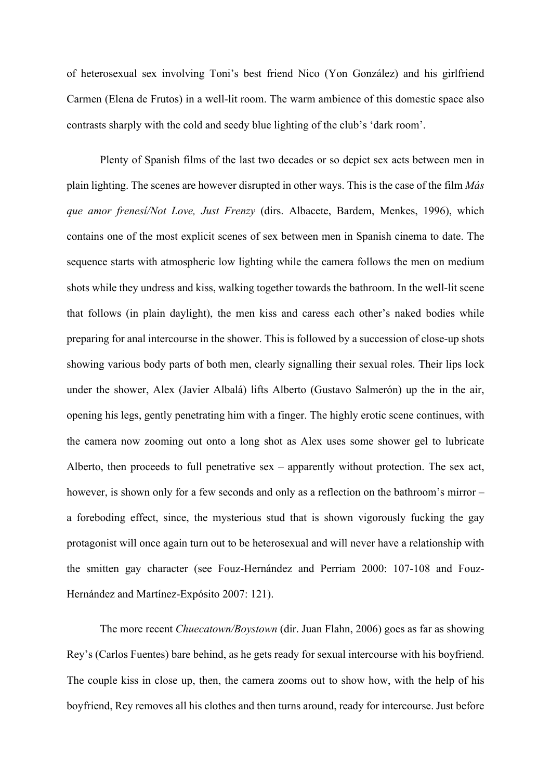of heterosexual sex involving Toni's best friend Nico (Yon González) and his girlfriend Carmen (Elena de Frutos) in a well-lit room. The warm ambience of this domestic space also contrasts sharply with the cold and seedy blue lighting of the club's 'dark room'.

Plenty of Spanish films of the last two decades or so depict sex acts between men in plain lighting. The scenes are however disrupted in other ways. This is the case of the film *Más que amor frenesí/Not Love, Just Frenzy* (dirs. Albacete, Bardem, Menkes, 1996), which contains one of the most explicit scenes of sex between men in Spanish cinema to date. The sequence starts with atmospheric low lighting while the camera follows the men on medium shots while they undress and kiss, walking together towards the bathroom. In the well-lit scene that follows (in plain daylight), the men kiss and caress each other's naked bodies while preparing for anal intercourse in the shower. This is followed by a succession of close-up shots showing various body parts of both men, clearly signalling their sexual roles. Their lips lock under the shower, Alex (Javier Albalá) lifts Alberto (Gustavo Salmerón) up the in the air, opening his legs, gently penetrating him with a finger. The highly erotic scene continues, with the camera now zooming out onto a long shot as Alex uses some shower gel to lubricate Alberto, then proceeds to full penetrative sex – apparently without protection. The sex act, however, is shown only for a few seconds and only as a reflection on the bathroom's mirror – a foreboding effect, since, the mysterious stud that is shown vigorously fucking the gay protagonist will once again turn out to be heterosexual and will never have a relationship with the smitten gay character (see Fouz-Hernández and Perriam 2000: 107-108 and Fouz-Hernández and Martínez-Expósito 2007: 121).

The more recent *Chuecatown/Boystown* (dir. Juan Flahn, 2006) goes as far as showing Rey's (Carlos Fuentes) bare behind, as he gets ready for sexual intercourse with his boyfriend. The couple kiss in close up, then, the camera zooms out to show how, with the help of his boyfriend, Rey removes all his clothes and then turns around, ready for intercourse. Just before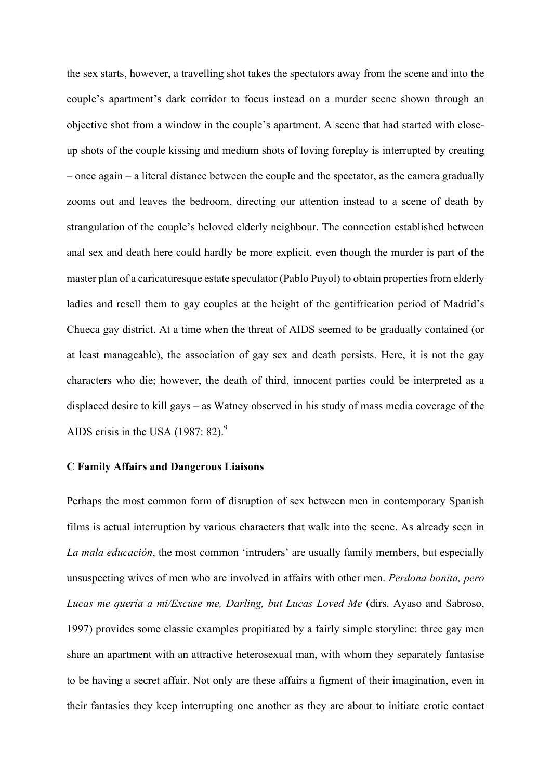the sex starts, however, a travelling shot takes the spectators away from the scene and into the couple's apartment's dark corridor to focus instead on a murder scene shown through an objective shot from a window in the couple's apartment. A scene that had started with closeup shots of the couple kissing and medium shots of loving foreplay is interrupted by creating – once again – a literal distance between the couple and the spectator, as the camera gradually zooms out and leaves the bedroom, directing our attention instead to a scene of death by strangulation of the couple's beloved elderly neighbour. The connection established between anal sex and death here could hardly be more explicit, even though the murder is part of the master plan of a caricaturesque estate speculator (Pablo Puyol) to obtain properties from elderly ladies and resell them to gay couples at the height of the gentifrication period of Madrid's Chueca gay district. At a time when the threat of AIDS seemed to be gradually contained (or at least manageable), the association of gay sex and death persists. Here, it is not the gay characters who die; however, the death of third, innocent parties could be interpreted as a displaced desire to kill gays – as Watney observed in his study of mass media coverage of the AIDS crisis in the USA  $(1987: 82)$ .<sup>9</sup>

#### **C Family Affairs and Dangerous Liaisons**

Perhaps the most common form of disruption of sex between men in contemporary Spanish films is actual interruption by various characters that walk into the scene. As already seen in *La mala educación*, the most common 'intruders' are usually family members, but especially unsuspecting wives of men who are involved in affairs with other men. *Perdona bonita, pero Lucas me quería a mi/Excuse me, Darling, but Lucas Loved Me* (dirs. Ayaso and Sabroso, 1997) provides some classic examples propitiated by a fairly simple storyline: three gay men share an apartment with an attractive heterosexual man, with whom they separately fantasise to be having a secret affair. Not only are these affairs a figment of their imagination, even in their fantasies they keep interrupting one another as they are about to initiate erotic contact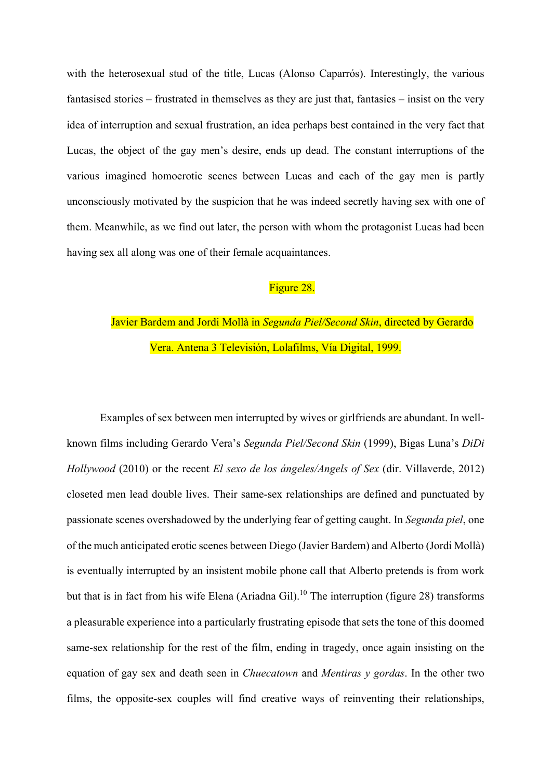with the heterosexual stud of the title, Lucas (Alonso Caparrós). Interestingly, the various fantasised stories – frustrated in themselves as they are just that, fantasies – insist on the very idea of interruption and sexual frustration, an idea perhaps best contained in the very fact that Lucas, the object of the gay men's desire, ends up dead. The constant interruptions of the various imagined homoerotic scenes between Lucas and each of the gay men is partly unconsciously motivated by the suspicion that he was indeed secretly having sex with one of them. Meanwhile, as we find out later, the person with whom the protagonist Lucas had been having sex all along was one of their female acquaintances.

## Figure 28.

# Javier Bardem and Jordi Mollà in *Segunda Piel/Second Skin*, directed by Gerardo Vera. Antena 3 Televisión, Lolafilms, Vía Digital, 1999.

Examples of sex between men interrupted by wives or girlfriends are abundant. In wellknown films including Gerardo Vera's *Segunda Piel/Second Skin* (1999), Bigas Luna's *DiDi Hollywood* (2010) or the recent *El sexo de los ángeles/Angels of Sex* (dir. Villaverde, 2012) closeted men lead double lives. Their same-sex relationships are defined and punctuated by passionate scenes overshadowed by the underlying fear of getting caught. In *Segunda piel*, one of the much anticipated erotic scenes between Diego (Javier Bardem) and Alberto (Jordi Mollà) is eventually interrupted by an insistent mobile phone call that Alberto pretends is from work but that is in fact from his wife Elena (Ariadna Gil).<sup>10</sup> The interruption (figure 28) transforms a pleasurable experience into a particularly frustrating episode that sets the tone of this doomed same-sex relationship for the rest of the film, ending in tragedy, once again insisting on the equation of gay sex and death seen in *Chuecatown* and *Mentiras y gordas*. In the other two films, the opposite-sex couples will find creative ways of reinventing their relationships,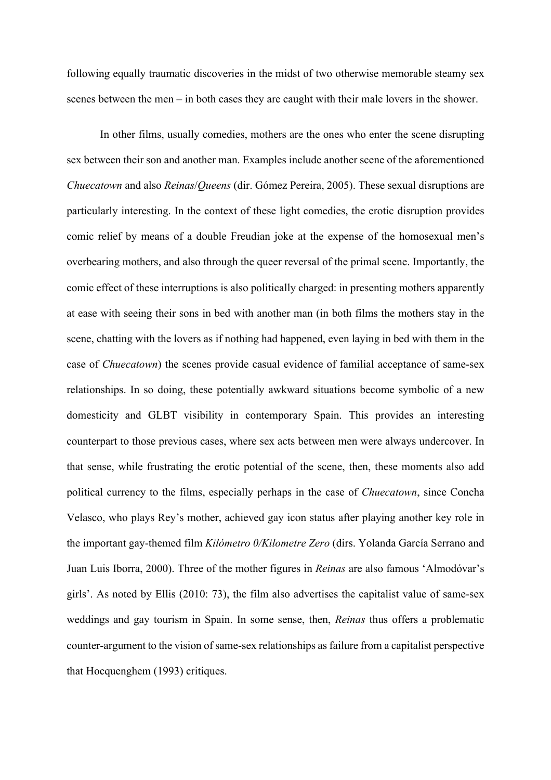following equally traumatic discoveries in the midst of two otherwise memorable steamy sex scenes between the men – in both cases they are caught with their male lovers in the shower.

In other films, usually comedies, mothers are the ones who enter the scene disrupting sex between their son and another man. Examples include another scene of the aforementioned *Chuecatown* and also *Reinas*/*Queens* (dir. Gómez Pereira, 2005). These sexual disruptions are particularly interesting. In the context of these light comedies, the erotic disruption provides comic relief by means of a double Freudian joke at the expense of the homosexual men's overbearing mothers, and also through the queer reversal of the primal scene. Importantly, the comic effect of these interruptions is also politically charged: in presenting mothers apparently at ease with seeing their sons in bed with another man (in both films the mothers stay in the scene, chatting with the lovers as if nothing had happened, even laying in bed with them in the case of *Chuecatown*) the scenes provide casual evidence of familial acceptance of same-sex relationships. In so doing, these potentially awkward situations become symbolic of a new domesticity and GLBT visibility in contemporary Spain. This provides an interesting counterpart to those previous cases, where sex acts between men were always undercover. In that sense, while frustrating the erotic potential of the scene, then, these moments also add political currency to the films, especially perhaps in the case of *Chuecatown*, since Concha Velasco, who plays Rey's mother, achieved gay icon status after playing another key role in the important gay-themed film *Kilómetro 0/Kilometre Zero* (dirs. Yolanda García Serrano and Juan Luis Iborra, 2000). Three of the mother figures in *Reinas* are also famous 'Almodóvar's girls'. As noted by Ellis (2010: 73), the film also advertises the capitalist value of same-sex weddings and gay tourism in Spain. In some sense, then, *Reinas* thus offers a problematic counter-argument to the vision of same-sex relationships as failure from a capitalist perspective that Hocquenghem (1993) critiques.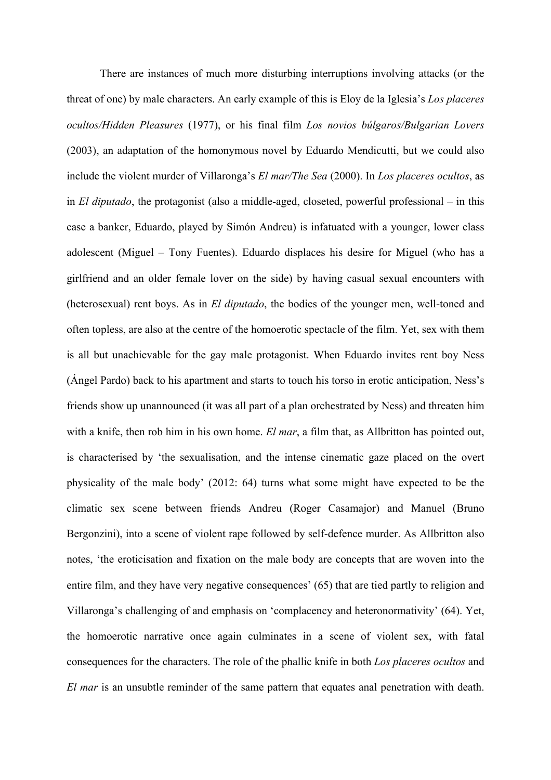There are instances of much more disturbing interruptions involving attacks (or the threat of one) by male characters. An early example of this is Eloy de la Iglesia's *Los placeres ocultos/Hidden Pleasures* (1977), or his final film *Los novios búlgaros/Bulgarian Lovers* (2003), an adaptation of the homonymous novel by Eduardo Mendicutti, but we could also include the violent murder of Villaronga's *El mar/The Sea* (2000). In *Los placeres ocultos*, as in *El diputado*, the protagonist (also a middle-aged, closeted, powerful professional – in this case a banker, Eduardo, played by Simón Andreu) is infatuated with a younger, lower class adolescent (Miguel – Tony Fuentes). Eduardo displaces his desire for Miguel (who has a girlfriend and an older female lover on the side) by having casual sexual encounters with (heterosexual) rent boys. As in *El diputado*, the bodies of the younger men, well-toned and often topless, are also at the centre of the homoerotic spectacle of the film. Yet, sex with them is all but unachievable for the gay male protagonist. When Eduardo invites rent boy Ness (Ángel Pardo) back to his apartment and starts to touch his torso in erotic anticipation, Ness's friends show up unannounced (it was all part of a plan orchestrated by Ness) and threaten him with a knife, then rob him in his own home. *El mar*, a film that, as Allbritton has pointed out, is characterised by 'the sexualisation, and the intense cinematic gaze placed on the overt physicality of the male body' (2012: 64) turns what some might have expected to be the climatic sex scene between friends Andreu (Roger Casamajor) and Manuel (Bruno Bergonzini), into a scene of violent rape followed by self-defence murder. As Allbritton also notes, 'the eroticisation and fixation on the male body are concepts that are woven into the entire film, and they have very negative consequences' (65) that are tied partly to religion and Villaronga's challenging of and emphasis on 'complacency and heteronormativity' (64). Yet, the homoerotic narrative once again culminates in a scene of violent sex, with fatal consequences for the characters. The role of the phallic knife in both *Los placeres ocultos* and *El mar* is an unsubtle reminder of the same pattern that equates anal penetration with death.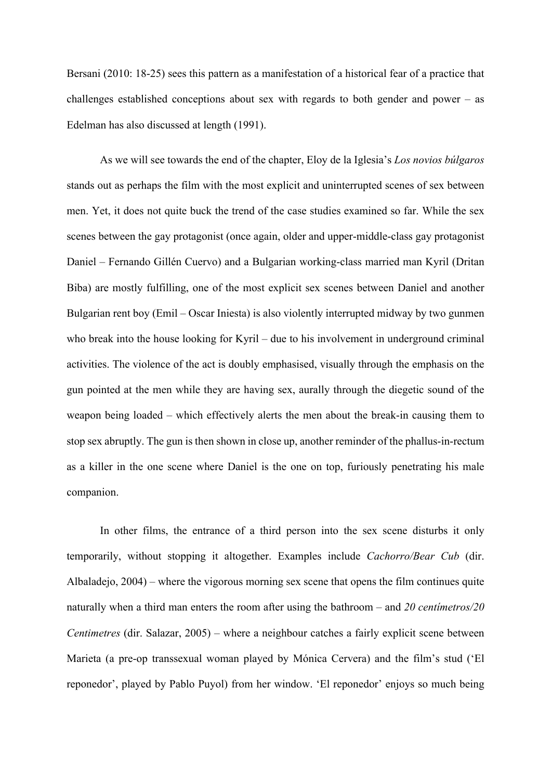Bersani (2010: 18-25) sees this pattern as a manifestation of a historical fear of a practice that challenges established conceptions about sex with regards to both gender and power – as Edelman has also discussed at length (1991).

As we will see towards the end of the chapter, Eloy de la Iglesia's *Los novios búlgaros*  stands out as perhaps the film with the most explicit and uninterrupted scenes of sex between men. Yet, it does not quite buck the trend of the case studies examined so far. While the sex scenes between the gay protagonist (once again, older and upper-middle-class gay protagonist Daniel – Fernando Gillén Cuervo) and a Bulgarian working-class married man Kyril (Dritan Biba) are mostly fulfilling, one of the most explicit sex scenes between Daniel and another Bulgarian rent boy (Emil – Oscar Iniesta) is also violently interrupted midway by two gunmen who break into the house looking for Kyril – due to his involvement in underground criminal activities. The violence of the act is doubly emphasised, visually through the emphasis on the gun pointed at the men while they are having sex, aurally through the diegetic sound of the weapon being loaded – which effectively alerts the men about the break-in causing them to stop sex abruptly. The gun is then shown in close up, another reminder of the phallus-in-rectum as a killer in the one scene where Daniel is the one on top, furiously penetrating his male companion.

In other films, the entrance of a third person into the sex scene disturbs it only temporarily, without stopping it altogether. Examples include *Cachorro/Bear Cub* (dir. Albaladejo, 2004) – where the vigorous morning sex scene that opens the film continues quite naturally when a third man enters the room after using the bathroom – and *20 centímetros/20 Centimetres* (dir. Salazar, 2005) – where a neighbour catches a fairly explicit scene between Marieta (a pre-op transsexual woman played by Mónica Cervera) and the film's stud ('El reponedor', played by Pablo Puyol) from her window. 'El reponedor' enjoys so much being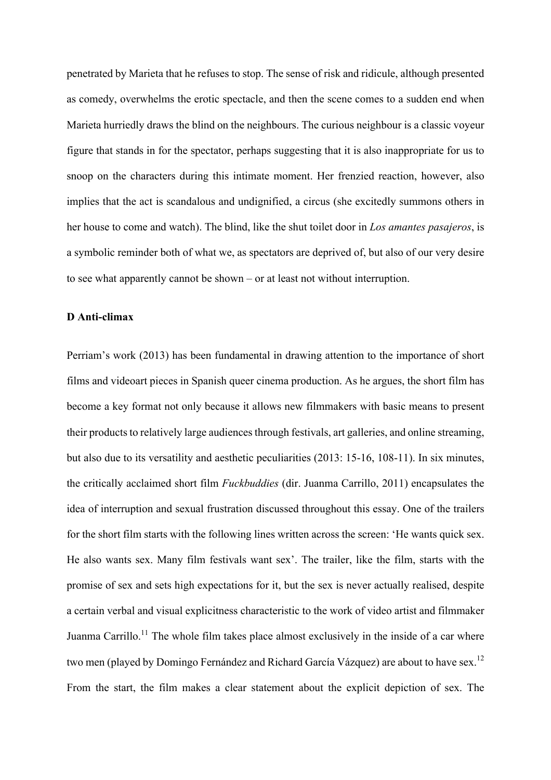penetrated by Marieta that he refuses to stop. The sense of risk and ridicule, although presented as comedy, overwhelms the erotic spectacle, and then the scene comes to a sudden end when Marieta hurriedly draws the blind on the neighbours. The curious neighbour is a classic voyeur figure that stands in for the spectator, perhaps suggesting that it is also inappropriate for us to snoop on the characters during this intimate moment. Her frenzied reaction, however, also implies that the act is scandalous and undignified, a circus (she excitedly summons others in her house to come and watch). The blind, like the shut toilet door in *Los amantes pasajeros*, is a symbolic reminder both of what we, as spectators are deprived of, but also of our very desire to see what apparently cannot be shown – or at least not without interruption.

#### **D Anti-climax**

Perriam's work (2013) has been fundamental in drawing attention to the importance of short films and videoart pieces in Spanish queer cinema production. As he argues, the short film has become a key format not only because it allows new filmmakers with basic means to present their products to relatively large audiences through festivals, art galleries, and online streaming, but also due to its versatility and aesthetic peculiarities (2013: 15-16, 108-11). In six minutes, the critically acclaimed short film *Fuckbuddies* (dir. Juanma Carrillo, 2011) encapsulates the idea of interruption and sexual frustration discussed throughout this essay. One of the trailers for the short film starts with the following lines written across the screen: 'He wants quick sex. He also wants sex. Many film festivals want sex'. The trailer, like the film, starts with the promise of sex and sets high expectations for it, but the sex is never actually realised, despite a certain verbal and visual explicitness characteristic to the work of video artist and filmmaker Juanma Carrillo.<sup>11</sup> The whole film takes place almost exclusively in the inside of a car where two men (played by Domingo Fernández and Richard García Vázquez) are about to have sex.<sup>12</sup> From the start, the film makes a clear statement about the explicit depiction of sex. The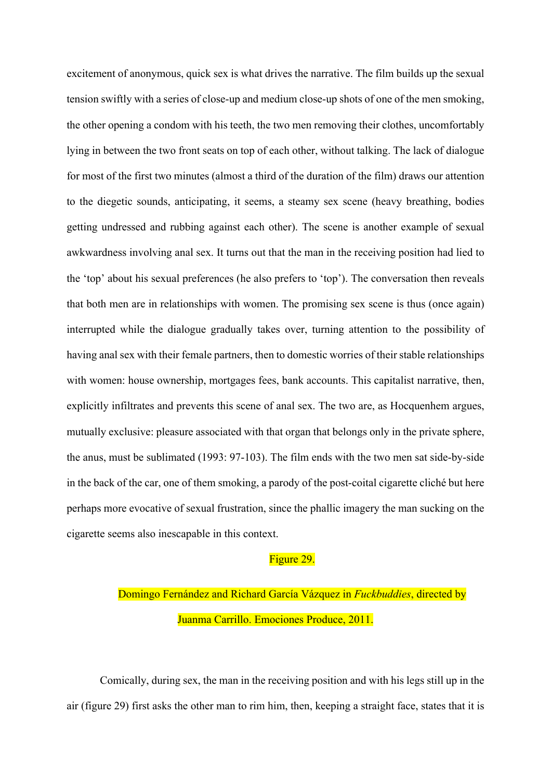excitement of anonymous, quick sex is what drives the narrative. The film builds up the sexual tension swiftly with a series of close-up and medium close-up shots of one of the men smoking, the other opening a condom with his teeth, the two men removing their clothes, uncomfortably lying in between the two front seats on top of each other, without talking. The lack of dialogue for most of the first two minutes (almost a third of the duration of the film) draws our attention to the diegetic sounds, anticipating, it seems, a steamy sex scene (heavy breathing, bodies getting undressed and rubbing against each other). The scene is another example of sexual awkwardness involving anal sex. It turns out that the man in the receiving position had lied to the 'top' about his sexual preferences (he also prefers to 'top'). The conversation then reveals that both men are in relationships with women. The promising sex scene is thus (once again) interrupted while the dialogue gradually takes over, turning attention to the possibility of having anal sex with their female partners, then to domestic worries of their stable relationships with women: house ownership, mortgages fees, bank accounts. This capitalist narrative, then, explicitly infiltrates and prevents this scene of anal sex. The two are, as Hocquenhem argues, mutually exclusive: pleasure associated with that organ that belongs only in the private sphere, the anus, must be sublimated (1993: 97-103). The film ends with the two men sat side-by-side in the back of the car, one of them smoking, a parody of the post-coital cigarette cliché but here perhaps more evocative of sexual frustration, since the phallic imagery the man sucking on the cigarette seems also inescapable in this context.

## Figure 29.

Domingo Fernández and Richard García Vázquez in *Fuckbuddies*, directed by Juanma Carrillo. Emociones Produce, 2011.

Comically, during sex, the man in the receiving position and with his legs still up in the air (figure 29) first asks the other man to rim him, then, keeping a straight face, states that it is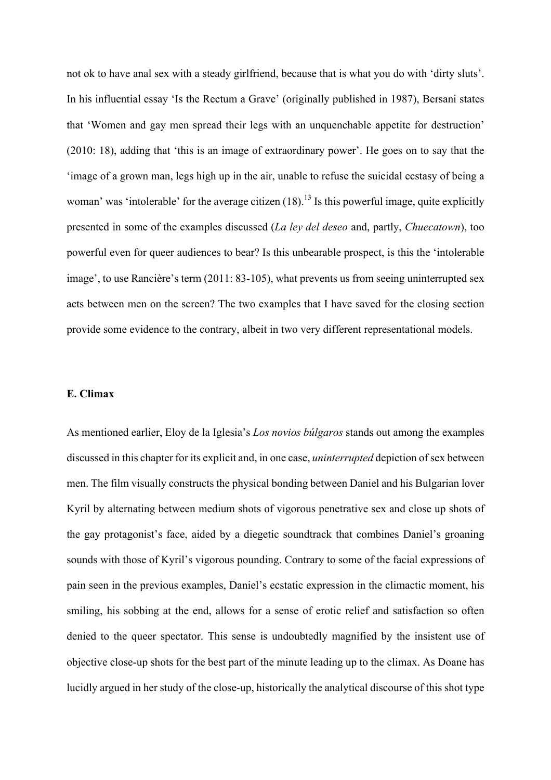not ok to have anal sex with a steady girlfriend, because that is what you do with 'dirty sluts'. In his influential essay 'Is the Rectum a Grave' (originally published in 1987), Bersani states that 'Women and gay men spread their legs with an unquenchable appetite for destruction' (2010: 18), adding that 'this is an image of extraordinary power'. He goes on to say that the 'image of a grown man, legs high up in the air, unable to refuse the suicidal ecstasy of being a woman' was 'intolerable' for the average citizen  $(18)$ .<sup>13</sup> Is this powerful image, quite explicitly presented in some of the examples discussed (*La ley del deseo* and, partly, *Chuecatown*), too powerful even for queer audiences to bear? Is this unbearable prospect, is this the 'intolerable image', to use Rancière's term (2011: 83-105), what prevents us from seeing uninterrupted sex acts between men on the screen? The two examples that I have saved for the closing section provide some evidence to the contrary, albeit in two very different representational models.

## **E. Climax**

As mentioned earlier, Eloy de la Iglesia's *Los novios búlgaros* stands out among the examples discussed in this chapter for its explicit and, in one case, *uninterrupted* depiction of sex between men. The film visually constructs the physical bonding between Daniel and his Bulgarian lover Kyril by alternating between medium shots of vigorous penetrative sex and close up shots of the gay protagonist's face, aided by a diegetic soundtrack that combines Daniel's groaning sounds with those of Kyril's vigorous pounding. Contrary to some of the facial expressions of pain seen in the previous examples, Daniel's ecstatic expression in the climactic moment, his smiling, his sobbing at the end, allows for a sense of erotic relief and satisfaction so often denied to the queer spectator. This sense is undoubtedly magnified by the insistent use of objective close-up shots for the best part of the minute leading up to the climax. As Doane has lucidly argued in her study of the close-up, historically the analytical discourse of this shot type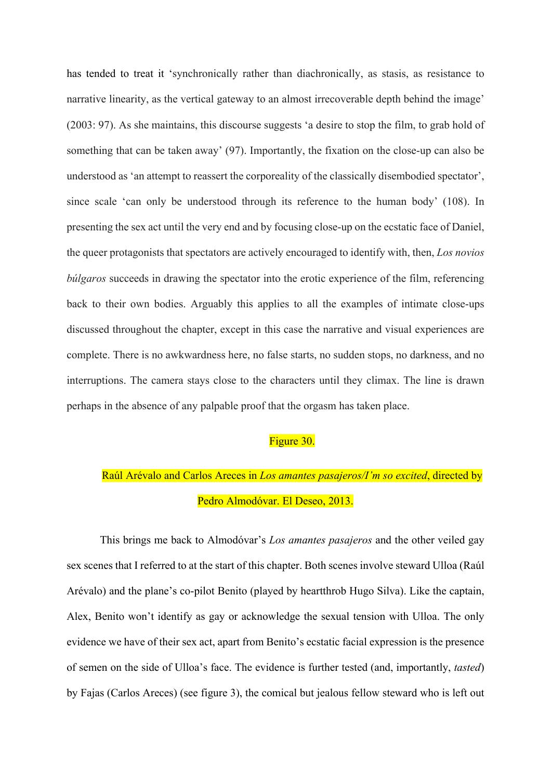has tended to treat it 'synchronically rather than diachronically, as stasis, as resistance to narrative linearity, as the vertical gateway to an almost irrecoverable depth behind the image' (2003: 97). As she maintains, this discourse suggests 'a desire to stop the film, to grab hold of something that can be taken away' (97). Importantly, the fixation on the close-up can also be understood as 'an attempt to reassert the corporeality of the classically disembodied spectator', since scale 'can only be understood through its reference to the human body' (108). In presenting the sex act until the very end and by focusing close-up on the ecstatic face of Daniel, the queer protagonists that spectators are actively encouraged to identify with, then, *Los novios búlgaros* succeeds in drawing the spectator into the erotic experience of the film, referencing back to their own bodies. Arguably this applies to all the examples of intimate close-ups discussed throughout the chapter, except in this case the narrative and visual experiences are complete. There is no awkwardness here, no false starts, no sudden stops, no darkness, and no interruptions. The camera stays close to the characters until they climax. The line is drawn perhaps in the absence of any palpable proof that the orgasm has taken place.

## Figure 30.

## Raúl Arévalo and Carlos Areces in *Los amantes pasajeros/I'm so excited*, directed by Pedro Almodóvar. El Deseo, 2013.

This brings me back to Almodóvar's *Los amantes pasajeros* and the other veiled gay sex scenes that I referred to at the start of this chapter. Both scenes involve steward Ulloa (Raúl Arévalo) and the plane's co-pilot Benito (played by heartthrob Hugo Silva). Like the captain, Alex, Benito won't identify as gay or acknowledge the sexual tension with Ulloa. The only evidence we have of their sex act, apart from Benito's ecstatic facial expression is the presence of semen on the side of Ulloa's face. The evidence is further tested (and, importantly, *tasted*) by Fajas (Carlos Areces) (see figure 3), the comical but jealous fellow steward who is left out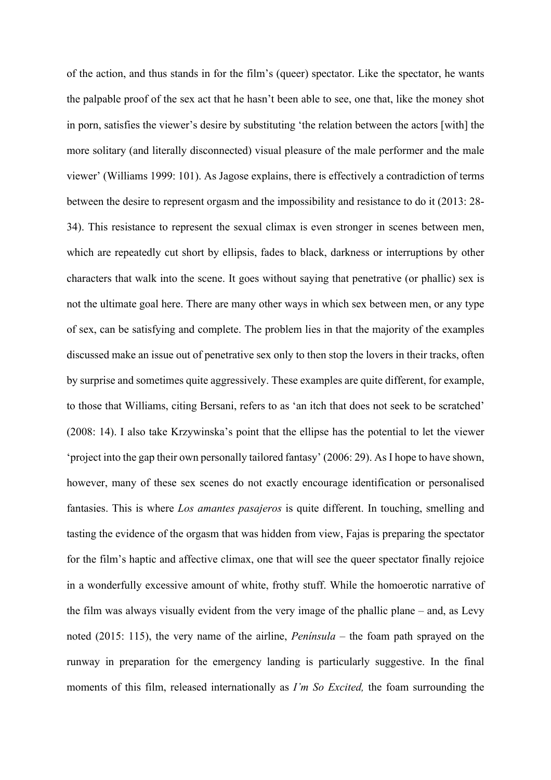of the action, and thus stands in for the film's (queer) spectator. Like the spectator, he wants the palpable proof of the sex act that he hasn't been able to see, one that, like the money shot in porn, satisfies the viewer's desire by substituting 'the relation between the actors [with] the more solitary (and literally disconnected) visual pleasure of the male performer and the male viewer' (Williams 1999: 101). As Jagose explains, there is effectively a contradiction of terms between the desire to represent orgasm and the impossibility and resistance to do it (2013: 28- 34). This resistance to represent the sexual climax is even stronger in scenes between men, which are repeatedly cut short by ellipsis, fades to black, darkness or interruptions by other characters that walk into the scene. It goes without saying that penetrative (or phallic) sex is not the ultimate goal here. There are many other ways in which sex between men, or any type of sex, can be satisfying and complete. The problem lies in that the majority of the examples discussed make an issue out of penetrative sex only to then stop the lovers in their tracks, often by surprise and sometimes quite aggressively. These examples are quite different, for example, to those that Williams, citing Bersani, refers to as 'an itch that does not seek to be scratched' (2008: 14). I also take Krzywinska's point that the ellipse has the potential to let the viewer 'project into the gap their own personally tailored fantasy' (2006: 29). As I hope to have shown, however, many of these sex scenes do not exactly encourage identification or personalised fantasies. This is where *Los amantes pasajeros* is quite different. In touching, smelling and tasting the evidence of the orgasm that was hidden from view, Fajas is preparing the spectator for the film's haptic and affective climax, one that will see the queer spectator finally rejoice in a wonderfully excessive amount of white, frothy stuff. While the homoerotic narrative of the film was always visually evident from the very image of the phallic plane – and, as Levy noted (2015: 115), the very name of the airline, *Península* – the foam path sprayed on the runway in preparation for the emergency landing is particularly suggestive. In the final moments of this film, released internationally as *I'm So Excited,* the foam surrounding the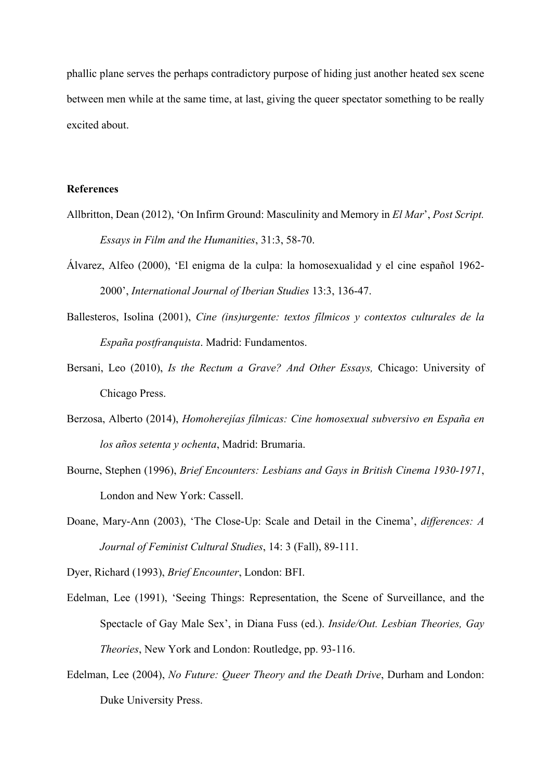phallic plane serves the perhaps contradictory purpose of hiding just another heated sex scene between men while at the same time, at last, giving the queer spectator something to be really excited about.

## **References**

- Allbritton, Dean (2012), 'On Infirm Ground: Masculinity and Memory in *El Mar*', *Post Script. Essays in Film and the Humanities*, 31:3, 58-70.
- Álvarez, Alfeo (2000), 'El enigma de la culpa: la homosexualidad y el cine español 1962- 2000', *International Journal of Iberian Studies* 13:3, 136-47.
- Ballesteros, Isolina (2001), *Cine (ins)urgente: textos fílmicos y contextos culturales de la España postfranquista*. Madrid: Fundamentos.
- Bersani, Leo (2010), *Is the Rectum a Grave? And Other Essays,* Chicago: University of Chicago Press.
- Berzosa, Alberto (2014), *Homoherejías fílmicas: Cine homosexual subversivo en España en los años setenta y ochenta*, Madrid: Brumaria.
- Bourne, Stephen (1996), *Brief Encounters: Lesbians and Gays in British Cinema 1930-1971*, London and New York: Cassell.
- Doane, Mary-Ann (2003), 'The Close-Up: Scale and Detail in the Cinema', *differences: A Journal of Feminist Cultural Studies*, 14: 3 (Fall), 89-111.

Dyer, Richard (1993), *Brief Encounter*, London: BFI.

- Edelman, Lee (1991), 'Seeing Things: Representation, the Scene of Surveillance, and the Spectacle of Gay Male Sex', in Diana Fuss (ed.). *Inside/Out. Lesbian Theories, Gay Theories*, New York and London: Routledge, pp. 93-116.
- Edelman, Lee (2004), *No Future: Queer Theory and the Death Drive*, Durham and London: Duke University Press.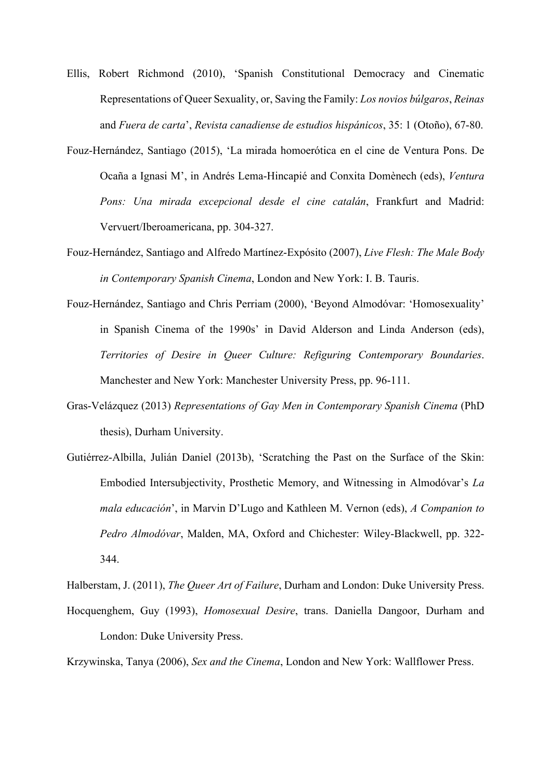- Ellis, Robert Richmond (2010), 'Spanish Constitutional Democracy and Cinematic Representations of Queer Sexuality, or, Saving the Family: *Los novios búlgaros*, *Reinas*  and *Fuera de carta*', *Revista canadiense de estudios hispánicos*, 35: 1 (Otoño), 67-80.
- Fouz-Hernández, Santiago (2015), 'La mirada homoerótica en el cine de Ventura Pons. De Ocaña a Ignasi M', in Andrés Lema-Hincapié and Conxita Domènech (eds), *Ventura Pons: Una mirada excepcional desde el cine catalán*, Frankfurt and Madrid: Vervuert/Iberoamericana, pp. 304-327.
- Fouz-Hernández, Santiago and Alfredo Martínez-Expósito (2007), *Live Flesh: The Male Body in Contemporary Spanish Cinema*, London and New York: I. B. Tauris.
- Fouz-Hernández, Santiago and Chris Perriam (2000), 'Beyond Almodóvar: 'Homosexuality' in Spanish Cinema of the 1990s' in David Alderson and Linda Anderson (eds), *Territories of Desire in Queer Culture: Refiguring Contemporary Boundaries*. Manchester and New York: Manchester University Press, pp. 96-111.
- Gras-Velázquez (2013) *Representations of Gay Men in Contemporary Spanish Cinema* (PhD thesis), Durham University.
- Gutiérrez-Albilla, Julián Daniel (2013b), 'Scratching the Past on the Surface of the Skin: Embodied Intersubjectivity, Prosthetic Memory, and Witnessing in Almodóvar's *La mala educación*', in Marvin D'Lugo and Kathleen M. Vernon (eds), *A Companion to Pedro Almodóvar*, Malden, MA, Oxford and Chichester: Wiley-Blackwell, pp. 322- 344.

Halberstam, J. (2011), *The Queer Art of Failure*, Durham and London: Duke University Press.

Hocquenghem, Guy (1993), *Homosexual Desire*, trans. Daniella Dangoor, Durham and London: Duke University Press.

Krzywinska, Tanya (2006), *Sex and the Cinema*, London and New York: Wallflower Press.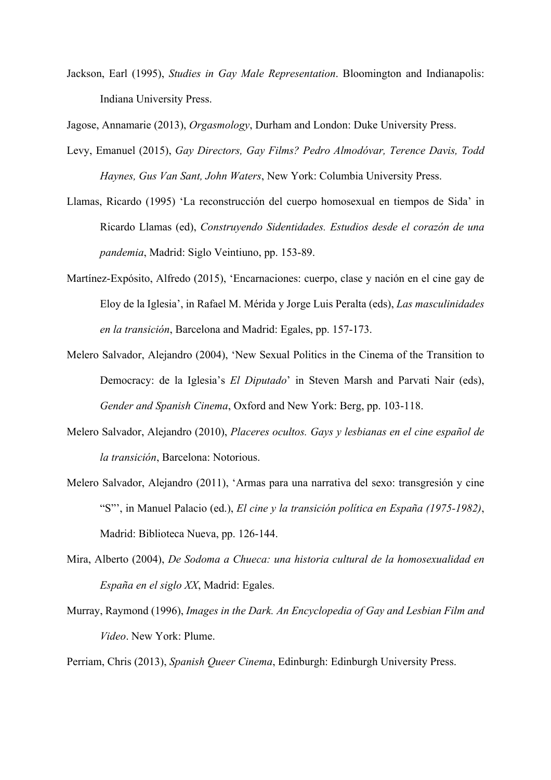Jackson, Earl (1995), *Studies in Gay Male Representation*. Bloomington and Indianapolis: Indiana University Press.

Jagose, Annamarie (2013), *Orgasmology*, Durham and London: Duke University Press.

- Levy, Emanuel (2015), *Gay Directors, Gay Films? Pedro Almodóvar, Terence Davis, Todd Haynes, Gus Van Sant, John Waters*, New York: Columbia University Press.
- Llamas, Ricardo (1995) 'La reconstrucción del cuerpo homosexual en tiempos de Sida' in Ricardo Llamas (ed), *Construyendo Sidentidades. Estudios desde el corazón de una pandemia*, Madrid: Siglo Veintiuno, pp. 153-89.
- Martínez-Expósito, Alfredo (2015), 'Encarnaciones: cuerpo, clase y nación en el cine gay de Eloy de la Iglesia', in Rafael M. Mérida y Jorge Luis Peralta (eds), *Las masculinidades en la transición*, Barcelona and Madrid: Egales, pp. 157-173.
- Melero Salvador, Alejandro (2004), 'New Sexual Politics in the Cinema of the Transition to Democracy: de la Iglesia's *El Diputado*' in Steven Marsh and Parvati Nair (eds), *Gender and Spanish Cinema*, Oxford and New York: Berg, pp. 103-118.
- Melero Salvador, Alejandro (2010), *Placeres ocultos. Gays y lesbianas en el cine español de la transición*, Barcelona: Notorious.
- Melero Salvador, Alejandro (2011), 'Armas para una narrativa del sexo: transgresión y cine "S"', in Manuel Palacio (ed.), *El cine y la transición política en España (1975-1982)*, Madrid: Biblioteca Nueva, pp. 126-144.
- Mira, Alberto (2004), *De Sodoma a Chueca: una historia cultural de la homosexualidad en España en el siglo XX*, Madrid: Egales.
- Murray, Raymond (1996), *Images in the Dark. An Encyclopedia of Gay and Lesbian Film and Video*. New York: Plume.

Perriam, Chris (2013), *Spanish Queer Cinema*, Edinburgh: Edinburgh University Press.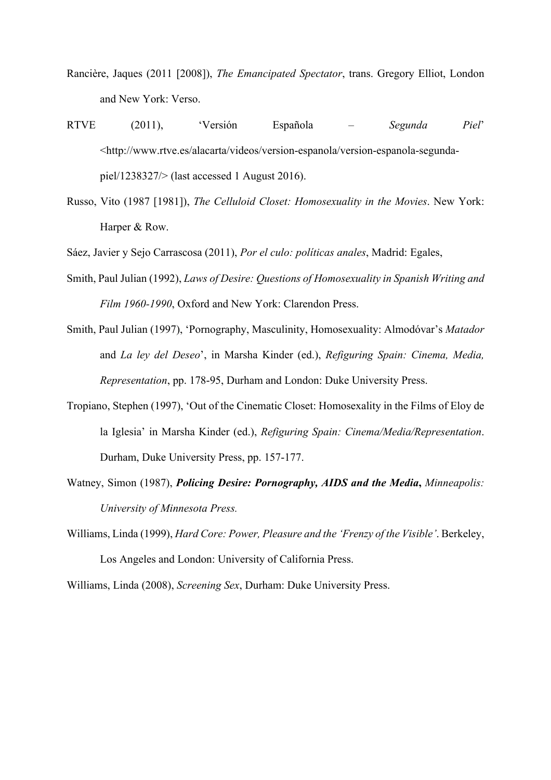- Rancière, Jaques (2011 [2008]), *The Emancipated Spectator*, trans. Gregory Elliot, London and New York: Verso.
- RTVE (2011), 'Versión Española *Segunda Piel*' <http://www.rtve.es/alacarta/videos/version-espanola/version-espanola-segundapiel/1238327/> (last accessed 1 August 2016).
- Russo, Vito (1987 [1981]), *The Celluloid Closet: Homosexuality in the Movies*. New York: Harper & Row.
- Sáez, Javier y Sejo Carrascosa (2011), *Por el culo: políticas anales*, Madrid: Egales,
- Smith, Paul Julian (1992), *Laws of Desire: Questions of Homosexuality in Spanish Writing and Film 1960-1990*, Oxford and New York: Clarendon Press.
- Smith, Paul Julian (1997), 'Pornography, Masculinity, Homosexuality: Almodóvar's *Matador* and *La ley del Deseo*', in Marsha Kinder (ed.), *Refiguring Spain: Cinema, Media, Representation*, pp. 178-95, Durham and London: Duke University Press.
- Tropiano, Stephen (1997), 'Out of the Cinematic Closet: Homosexality in the Films of Eloy de la Iglesia' in Marsha Kinder (ed.), *Refiguring Spain: Cinema/Media/Representation*. Durham, Duke University Press, pp. 157-177.
- Watney, Simon (1987), *Policing Desire: Pornography, AIDS and the Media***,** *Minneapolis: University of Minnesota Press.*
- Williams, Linda (1999), *Hard Core: Power, Pleasure and the 'Frenzy of the Visible'*. Berkeley, Los Angeles and London: University of California Press.
- Williams, Linda (2008), *Screening Sex*, Durham: Duke University Press.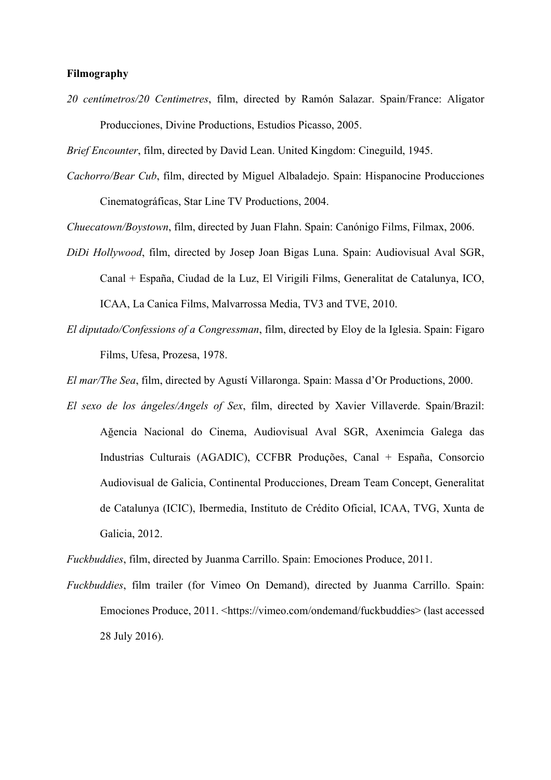#### **Filmography**

*20 centímetros/20 Centimetres*, film, directed by Ramón Salazar. Spain/France: Aligator Producciones, Divine Productions, Estudios Picasso, 2005.

*Brief Encounter*, film, directed by David Lean. United Kingdom: Cineguild, 1945.

*Cachorro/Bear Cub*, film, directed by Miguel Albaladejo. Spain: Hispanocine Producciones Cinematográficas, Star Line TV Productions, 2004.

*Chuecatown/Boystown*, film, directed by Juan Flahn. Spain: Canónigo Films, Filmax, 2006.

- *DiDi Hollywood*, film, directed by Josep Joan Bigas Luna. Spain: Audiovisual Aval SGR, Canal + España, Ciudad de la Luz, El Virigili Films, Generalitat de Catalunya, ICO, ICAA, La Canica Films, Malvarrossa Media, TV3 and TVE, 2010.
- *El diputado/Confessions of a Congressman*, film, directed by Eloy de la Iglesia. Spain: Figaro Films, Ufesa, Prozesa, 1978.

*El mar/The Sea*, film, directed by Agustí Villaronga. Spain: Massa d'Or Productions, 2000.

*El sexo de los ángeles/Angels of Sex*, film, directed by Xavier Villaverde. Spain/Brazil: Ağencia Nacional do Cinema, Audiovisual Aval SGR, Axenimcia Galega das Industrias Culturais (AGADIC), CCFBR Produções, Canal + España, Consorcio Audiovisual de Galicia, Continental Producciones, Dream Team Concept, Generalitat de Catalunya (ICIC), Ibermedia, Instituto de Crédito Oficial, ICAA, TVG, Xunta de Galicia, 2012.

*Fuckbuddies*, film, directed by Juanma Carrillo. Spain: Emociones Produce, 2011.

*Fuckbuddies*, film trailer (for Vimeo On Demand), directed by Juanma Carrillo. Spain: Emociones Produce, 2011. <https://vimeo.com/ondemand/fuckbuddies> (last accessed 28 July 2016).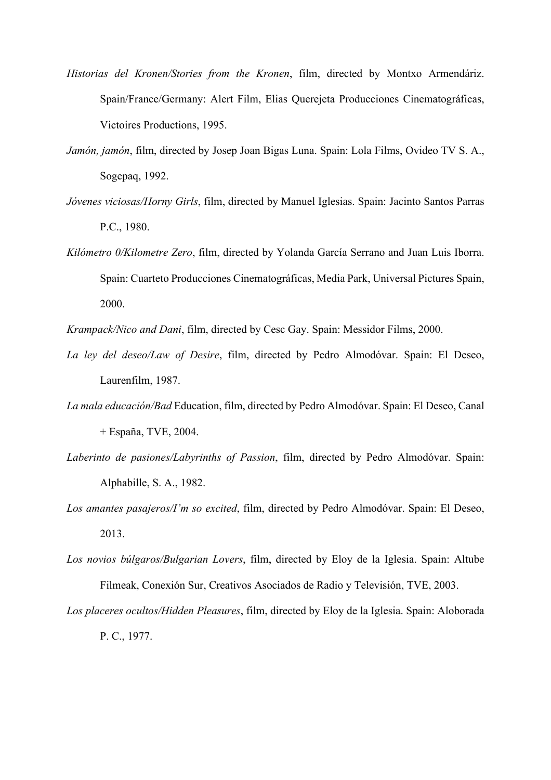- *Historias del Kronen/Stories from the Kronen*, film, directed by Montxo Armendáriz. Spain/France/Germany: Alert Film, Elias Querejeta Producciones Cinematográficas, Victoires Productions, 1995.
- *Jamón, jamón*, film, directed by Josep Joan Bigas Luna. Spain: Lola Films, Ovideo TV S. A., Sogepaq, 1992.
- *Jóvenes viciosas/Horny Girls*, film, directed by Manuel Iglesias. Spain: Jacinto Santos Parras P.C., 1980.
- *Kilómetro 0/Kilometre Zero*, film, directed by Yolanda García Serrano and Juan Luis Iborra. Spain: Cuarteto Producciones Cinematográficas, Media Park, Universal Pictures Spain, 2000.

*Krampack/Nico and Dani*, film, directed by Cesc Gay. Spain: Messidor Films, 2000.

- *La ley del deseo/Law of Desire*, film, directed by Pedro Almodóvar. Spain: El Deseo, Laurenfilm, 1987.
- *La mala educación/Bad* Education, film, directed by Pedro Almodóvar. Spain: El Deseo, Canal + España, TVE, 2004.
- *Laberinto de pasiones/Labyrinths of Passion*, film, directed by Pedro Almodóvar. Spain: Alphabille, S. A., 1982.
- *Los amantes pasajeros/I'm so excited*, film, directed by Pedro Almodóvar. Spain: El Deseo, 2013.
- *Los novios búlgaros/Bulgarian Lovers*, film, directed by Eloy de la Iglesia. Spain: Altube Filmeak, Conexión Sur, Creativos Asociados de Radio y Televisión, TVE, 2003.
- *Los placeres ocultos/Hidden Pleasures*, film, directed by Eloy de la Iglesia. Spain: Aloborada P. C., 1977.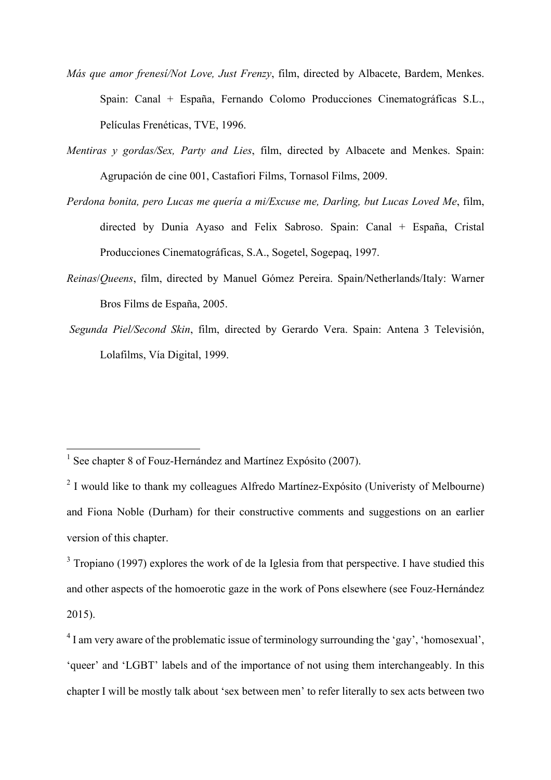- *Más que amor frenesí/Not Love, Just Frenzy*, film, directed by Albacete, Bardem, Menkes. Spain: Canal + España, Fernando Colomo Producciones Cinematográficas S.L., Películas Frenéticas, TVE, 1996.
- *Mentiras y gordas/Sex, Party and Lies*, film, directed by Albacete and Menkes. Spain: Agrupación de cine 001, Castafiori Films, Tornasol Films, 2009.
- *Perdona bonita, pero Lucas me quería a mi/Excuse me, Darling, but Lucas Loved Me*, film, directed by Dunia Ayaso and Felix Sabroso. Spain: Canal + España, Cristal Producciones Cinematográficas, S.A., Sogetel, Sogepaq, 1997.
- *Reinas*/*Queens*, film, directed by Manuel Gómez Pereira. Spain/Netherlands/Italy: Warner Bros Films de España, 2005.
- *Segunda Piel/Second Skin*, film, directed by Gerardo Vera. Spain: Antena 3 Televisión, Lolafilms, Vía Digital, 1999.

 

<sup>&</sup>lt;sup>1</sup> See chapter 8 of Fouz-Hernández and Martínez Expósito (2007).

<sup>&</sup>lt;sup>2</sup> I would like to thank my colleagues Alfredo Martínez-Expósito (Univeristy of Melbourne) and Fiona Noble (Durham) for their constructive comments and suggestions on an earlier version of this chapter.

 $3$  Tropiano (1997) explores the work of de la Iglesia from that perspective. I have studied this and other aspects of the homoerotic gaze in the work of Pons elsewhere (see Fouz-Hernández 2015).

<sup>&</sup>lt;sup>4</sup> I am very aware of the problematic issue of terminology surrounding the 'gay', 'homosexual', 'queer' and 'LGBT' labels and of the importance of not using them interchangeably. In this chapter I will be mostly talk about 'sex between men' to refer literally to sex acts between two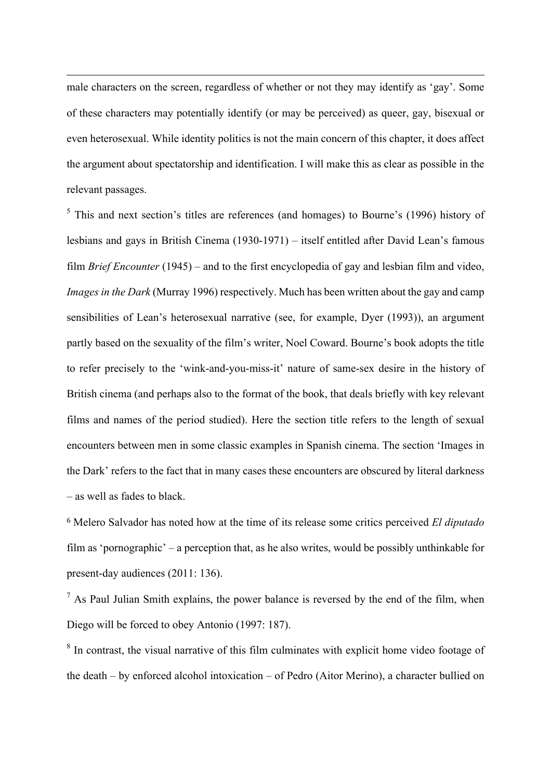male characters on the screen, regardless of whether or not they may identify as 'gay'. Some of these characters may potentially identify (or may be perceived) as queer, gay, bisexual or even heterosexual. While identity politics is not the main concern of this chapter, it does affect the argument about spectatorship and identification. I will make this as clear as possible in the relevant passages.

<u> 1989 - Jan Sarajević, politički predsjednik i politički predsjednik i politički politički politički političk</u>

 $<sup>5</sup>$  This and next section's titles are references (and homages) to Bourne's (1996) history of</sup> lesbians and gays in British Cinema (1930-1971) – itself entitled after David Lean's famous film *Brief Encounter* (1945) – and to the first encyclopedia of gay and lesbian film and video, *Images in the Dark* (Murray 1996) respectively. Much has been written about the gay and camp sensibilities of Lean's heterosexual narrative (see, for example, Dyer (1993)), an argument partly based on the sexuality of the film's writer, Noel Coward. Bourne's book adopts the title to refer precisely to the 'wink-and-you-miss-it' nature of same-sex desire in the history of British cinema (and perhaps also to the format of the book, that deals briefly with key relevant films and names of the period studied). Here the section title refers to the length of sexual encounters between men in some classic examples in Spanish cinema. The section 'Images in the Dark' refers to the fact that in many cases these encounters are obscured by literal darkness – as well as fades to black.

<sup>6</sup> Melero Salvador has noted how at the time of its release some critics perceived *El diputado* film as 'pornographic' – a perception that, as he also writes, would be possibly unthinkable for present-day audiences (2011: 136).

<sup>7</sup> As Paul Julian Smith explains, the power balance is reversed by the end of the film, when Diego will be forced to obey Antonio (1997: 187).

<sup>8</sup> In contrast, the visual narrative of this film culminates with explicit home video footage of the death – by enforced alcohol intoxication – of Pedro (Aitor Merino), a character bullied on